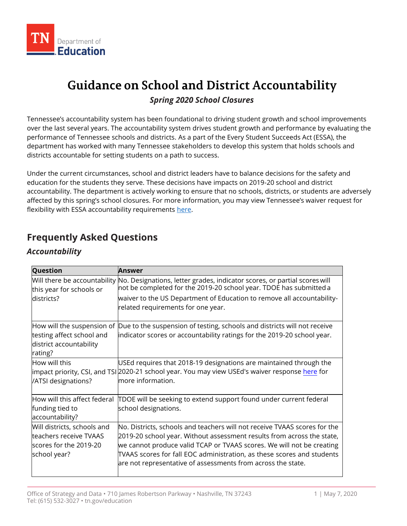

# **Guidance on School and District Accountability**

### *Spring 2020 School Closures*

 Tennessee's accountability system has been foundational to driving student growth and school improvements over the last several years. The accountability system drives student growth and performance by evaluating the performance of Tennessee schools and districts. As a part of the Every Student Succeeds Act (ESSA), the department has worked with many Tennessee stakeholders to develop this system that holds schools and districts accountable for setting students on a path to success.

 Under the current circumstances, school and district leaders have to balance decisions for the safety and education for the students they serve. These decisions have impacts on 2019-20 school and district accountability. The department is actively working to ensure that no schools, districts, or students are adversely affected by this spring's school closures. For more information, you may view Tennessee's waiver request for flexibility with ESSA accountability requirements <u>here</u>.

# **Frequently Asked Questions**

## *Accountability*

| Question                                                                                        | Answer                                                                                                                                                                                                                                                                                                                                                                 |
|-------------------------------------------------------------------------------------------------|------------------------------------------------------------------------------------------------------------------------------------------------------------------------------------------------------------------------------------------------------------------------------------------------------------------------------------------------------------------------|
| this year for schools or<br>ldistricts?                                                         | Will there be accountability No. Designations, letter grades, indicator scores, or partial scores will<br>not be completed for the 2019-20 school year. TDOE has submitted a                                                                                                                                                                                           |
|                                                                                                 | waiver to the US Department of Education to remove all accountability-<br>related requirements for one year.                                                                                                                                                                                                                                                           |
| How will the suspension of<br>testing affect school and<br>district accountability<br>rating?   | Due to the suspension of testing, schools and districts will not receive<br>indicator scores or accountability ratings for the 2019-20 school year.                                                                                                                                                                                                                    |
| How will this<br>/ATSI designations?                                                            | USEd requires that 2018-19 designations are maintained through the<br>impact priority, CSI, and TSI 2020-21 school year. You may view USEd's waiver response here for<br>more information.                                                                                                                                                                             |
| How will this affect federal<br>funding tied to<br>accountability?                              | TDOE will be seeking to extend support found under current federal<br>school designations.                                                                                                                                                                                                                                                                             |
| Will districts, schools and<br>teachers receive TVAAS<br>scores for the 2019-20<br>school year? | No. Districts, schools and teachers will not receive TVAAS scores for the<br>2019-20 school year. Without assessment results from across the state,<br>we cannot produce valid TCAP or TVAAS scores. We will not be creating<br>TVAAS scores for fall EOC administration, as these scores and students<br>are not representative of assessments from across the state. |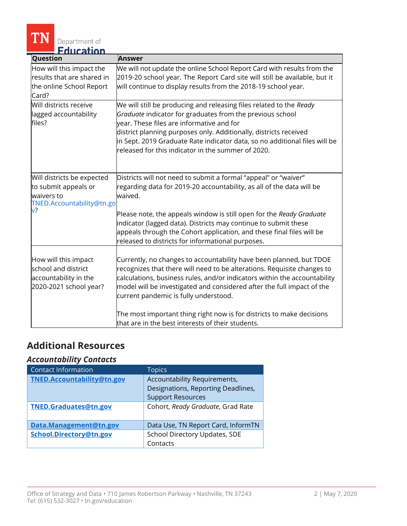

| Question                                                                                            | <b>Answer</b>                                                                                                                                                                                                                                                                                                                                                                                                                                                                |  |
|-----------------------------------------------------------------------------------------------------|------------------------------------------------------------------------------------------------------------------------------------------------------------------------------------------------------------------------------------------------------------------------------------------------------------------------------------------------------------------------------------------------------------------------------------------------------------------------------|--|
| How will this impact the<br>results that are shared in<br>the online School Report<br>Card?         | We will not update the online School Report Card with results from the<br>2019-20 school year. The Report Card site will still be available, but it<br>will continue to display results from the 2018-19 school year.                                                                                                                                                                                                                                                        |  |
| Will districts receive<br>lagged accountability<br>files?                                           | We will still be producing and releasing files related to the Ready<br>Graduate indicator for graduates from the previous school<br>year. These files are informative and for<br>district planning purposes only. Additionally, districts received<br>in Sept. 2019 Graduate Rate indicator data, so no additional files will be<br>released for this indicator in the summer of 2020.                                                                                       |  |
| Will districts be expected<br>to submit appeals or<br>waivers to<br>TNED.Accountability@tn.go<br>v? | Districts will not need to submit a formal "appeal" or "waiver"<br>regarding data for 2019-20 accountability, as all of the data will be<br>waived.<br>Please note, the appeals window is still open for the Ready Graduate<br>indicator (lagged data). Districts may continue to submit these<br>appeals through the Cohort application, and these final files will be<br>released to districts for informational purposes.                                                 |  |
| How will this impact<br>school and district<br>accountability in the<br>2020-2021 school year?      | Currently, no changes to accountability have been planned, but TDOE<br>recognizes that there will need to be alterations. Requisite changes to<br>calculations, business rules, and/or indicators within the accountability<br>model will be investigated and considered after the full impact of the<br>current pandemic is fully understood.<br>The most important thing right now is for districts to make decisions<br>that are in the best interests of their students. |  |

# **Additional Resources**

#### *Accountability Contacts*

| <b>Contact Information</b> | <b>Topics</b>                      |
|----------------------------|------------------------------------|
| TNED.Accountability@tn.gov | Accountability Requirements,       |
|                            | Designations, Reporting Deadlines, |
|                            | <b>Support Resources</b>           |
| TNED.Graduates@tn.gov      | Cohort, Ready Graduate, Grad Rate  |
| Data.Management@tn.gov     | Data Use, TN Report Card, InformTN |
| School.Directory@tn.gov    | School Directory Updates, SDE      |
|                            | Contacts                           |